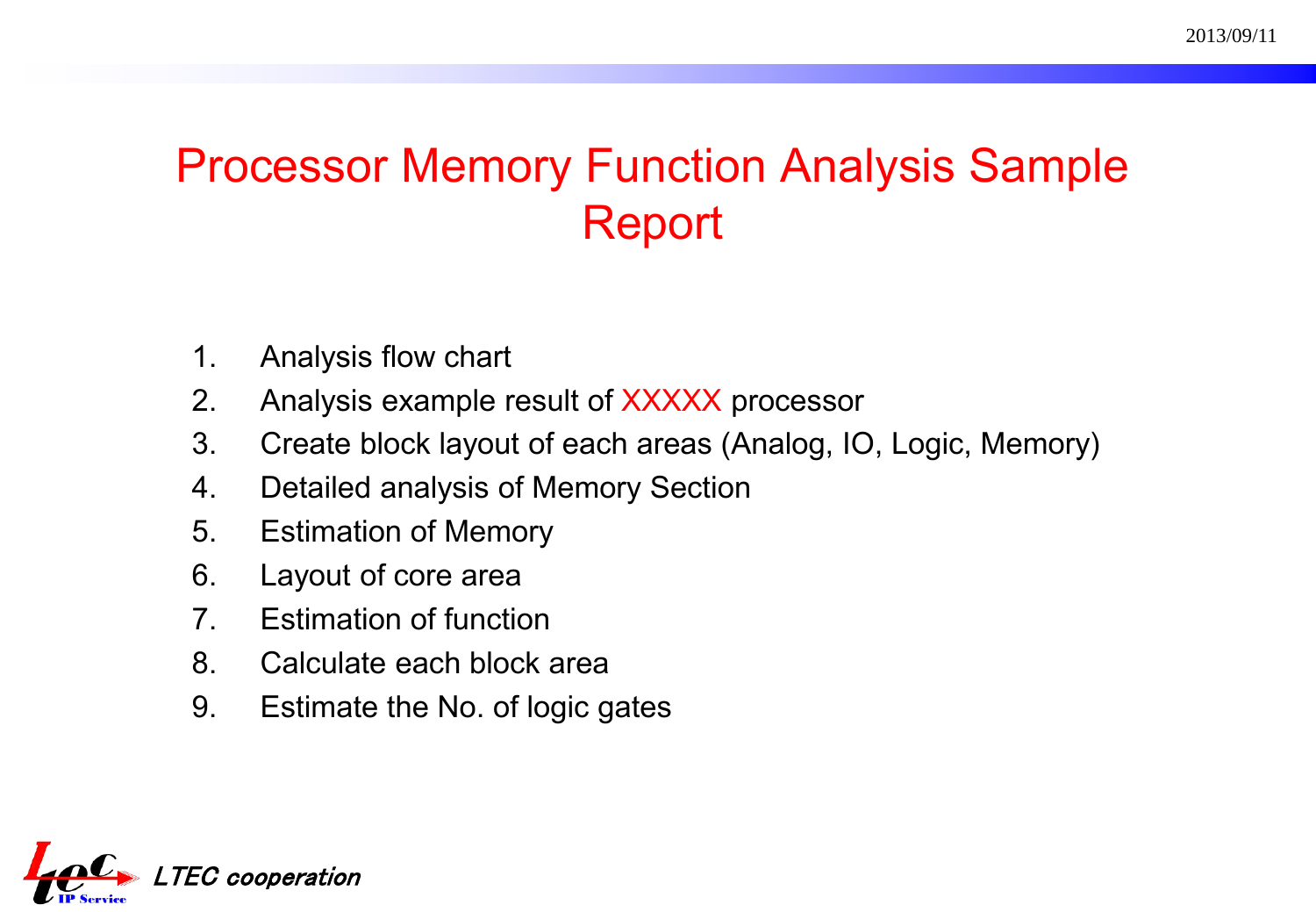# Processor Memory Function Analysis Sample Report

- 1. Analysis flow chart
- 2. Analysis example result of XXXXX processor
- 3. Create block layout of each areas (Analog, IO, Logic, Memory)
- 4. Detailed analysis of Memory Section
- 5. Estimation of Memory
- 6. Layout of core area
- 7. Estimation of function
- 8. Calculate each block area
- 9. Estimate the No. of logic gates

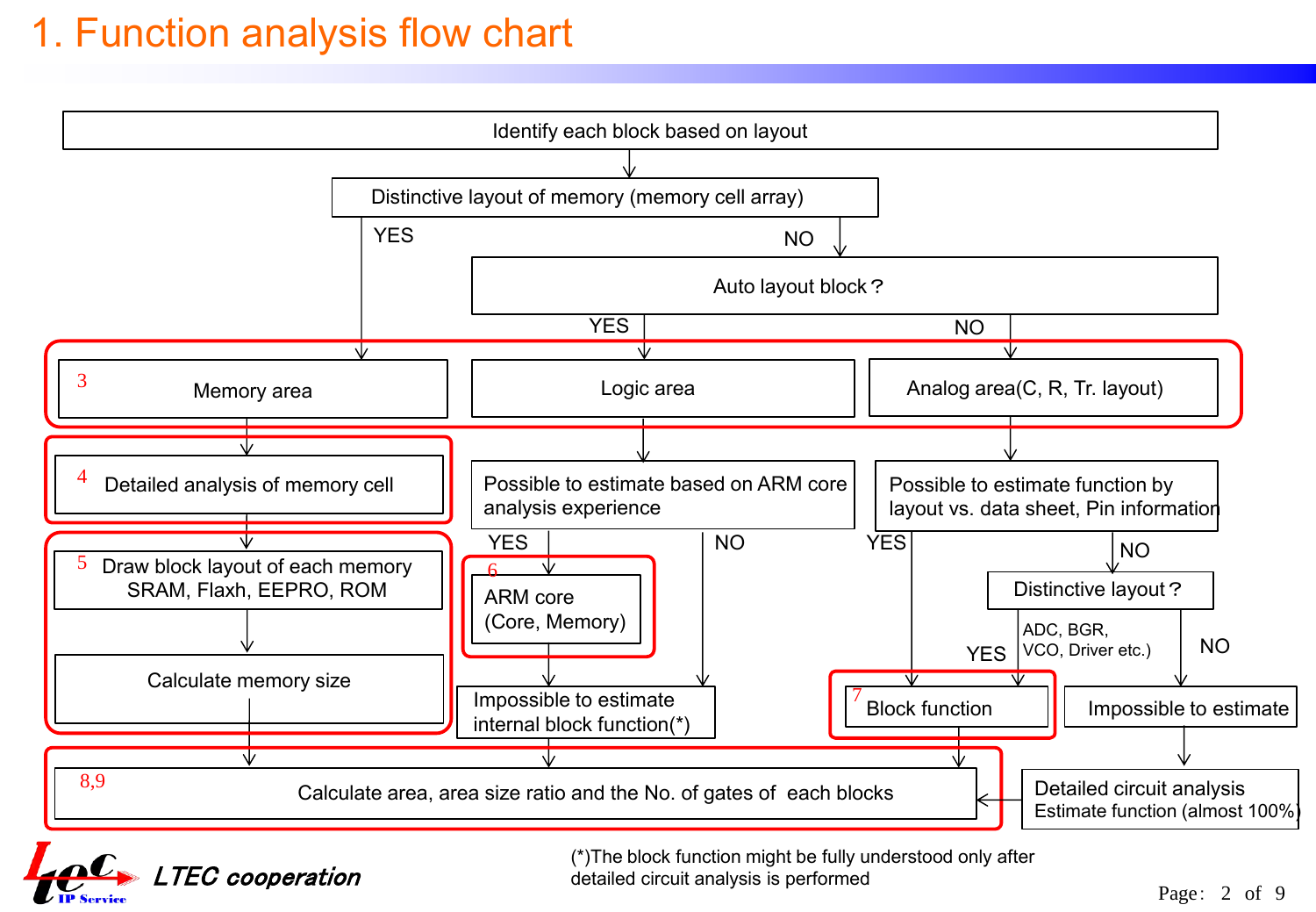### 1. Function analysis flow chart



 $\mathbf{C}$  LTEC cooperation

(\*)The block function might be fully understood only after detailed circuit analysis is performed

Page: 2 of 9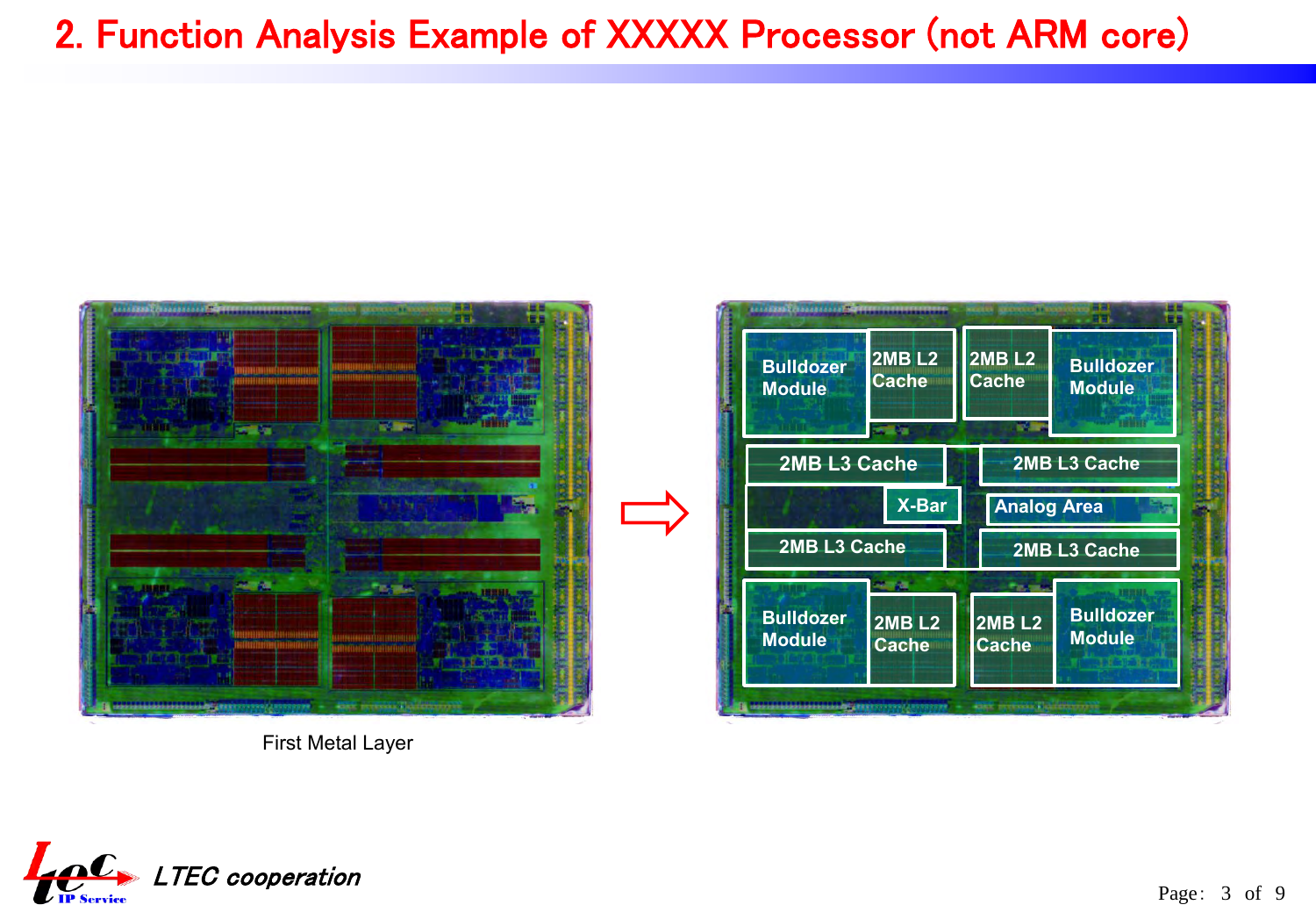### 2. Function Analysis Example of XXXXX Processor (not ARM core)



First Metal Layer



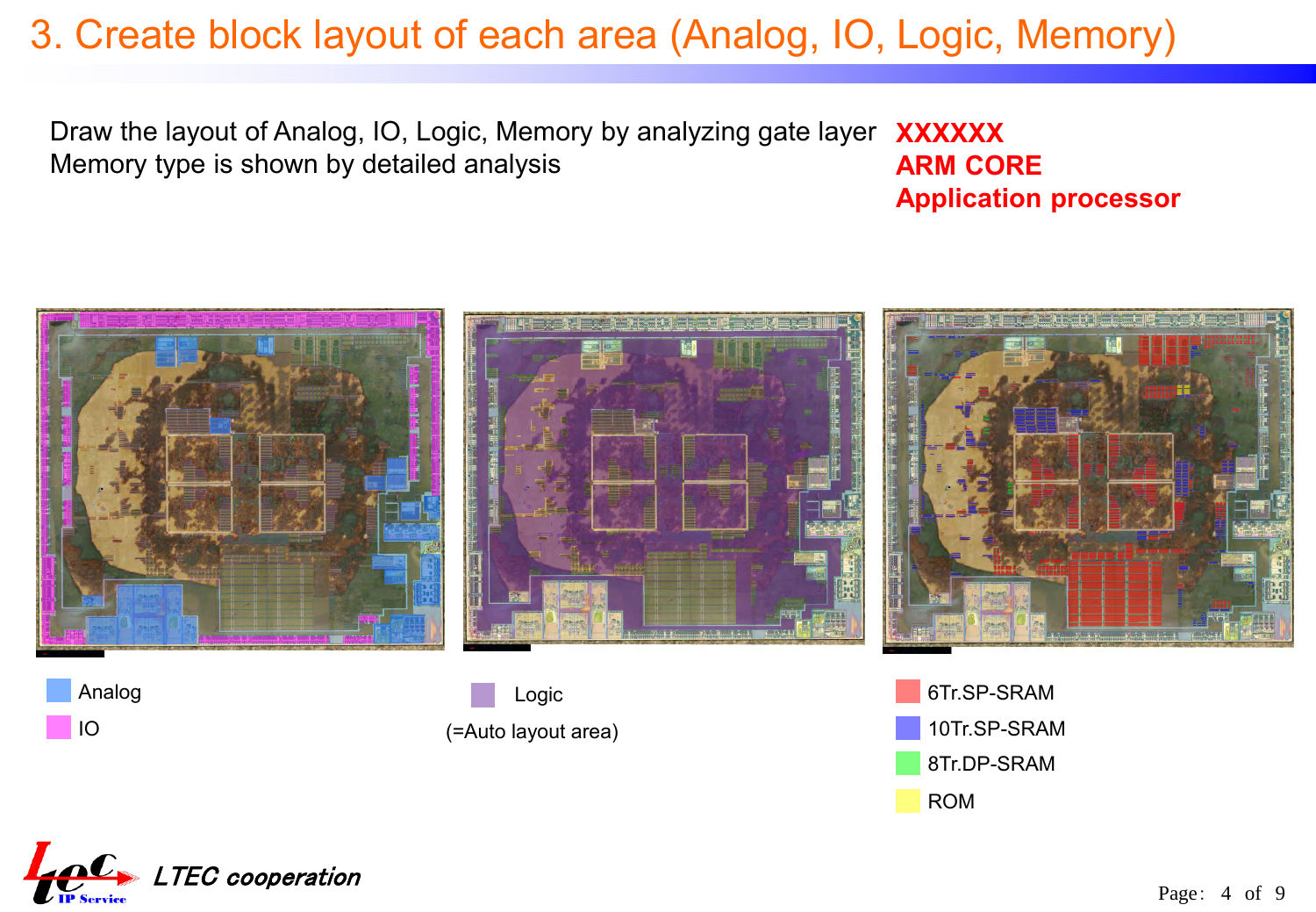### 3. Create block layout of each area (Analog, IO, Logic, Memory)

Draw the layout of Analog, IO, Logic, Memory by analyzing gate layer Memory type is shown by detailed analysis **XXXXXX ARM CORE**

**Application processor** 



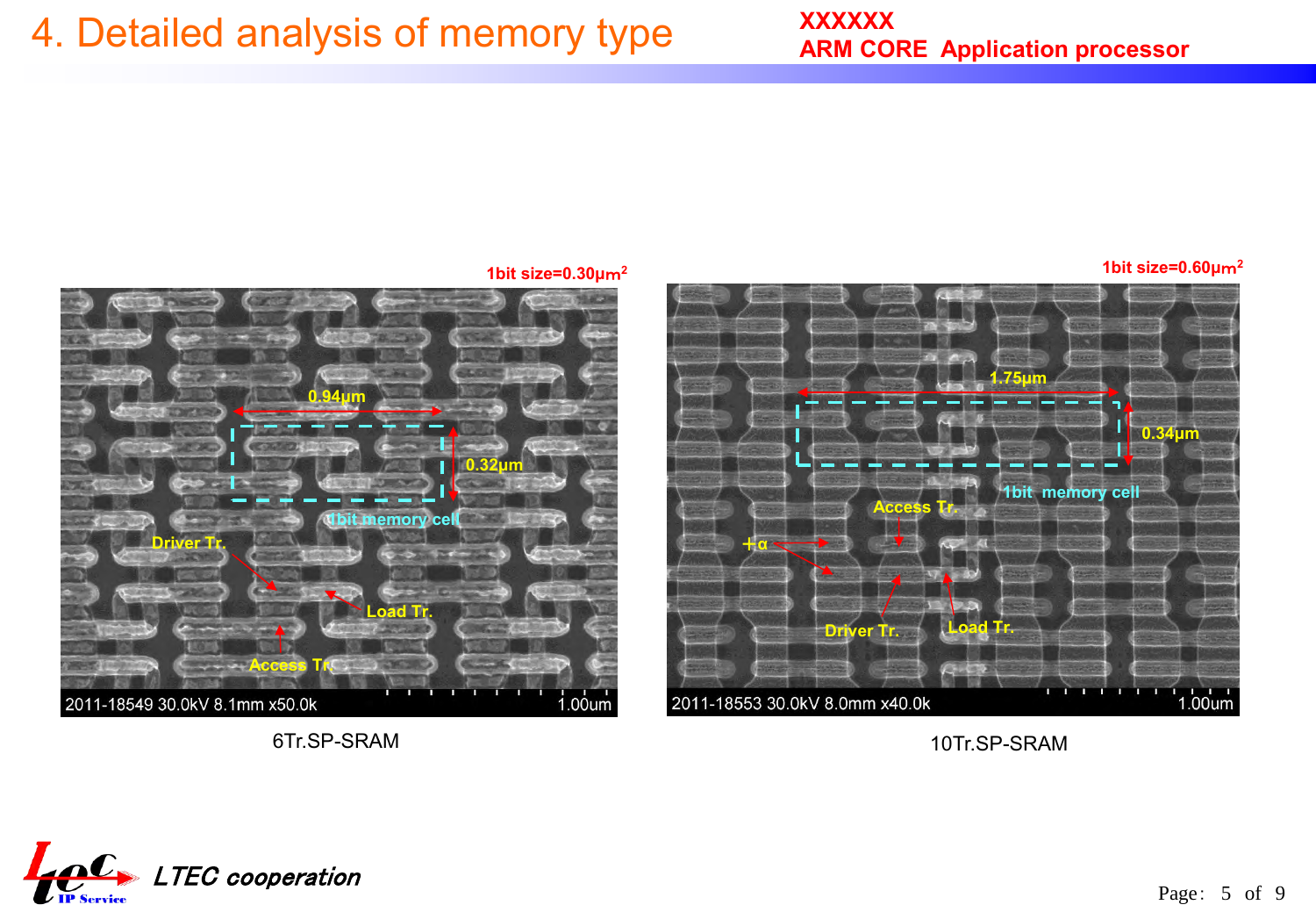# 4. Detailed analysis of memory type

**1bit size=0.30μ**m**<sup>2</sup>**

**1bit size=0.60μ**m**<sup>2</sup>**



10Tr.SP-SRAM



6Tr.SP-SRAM

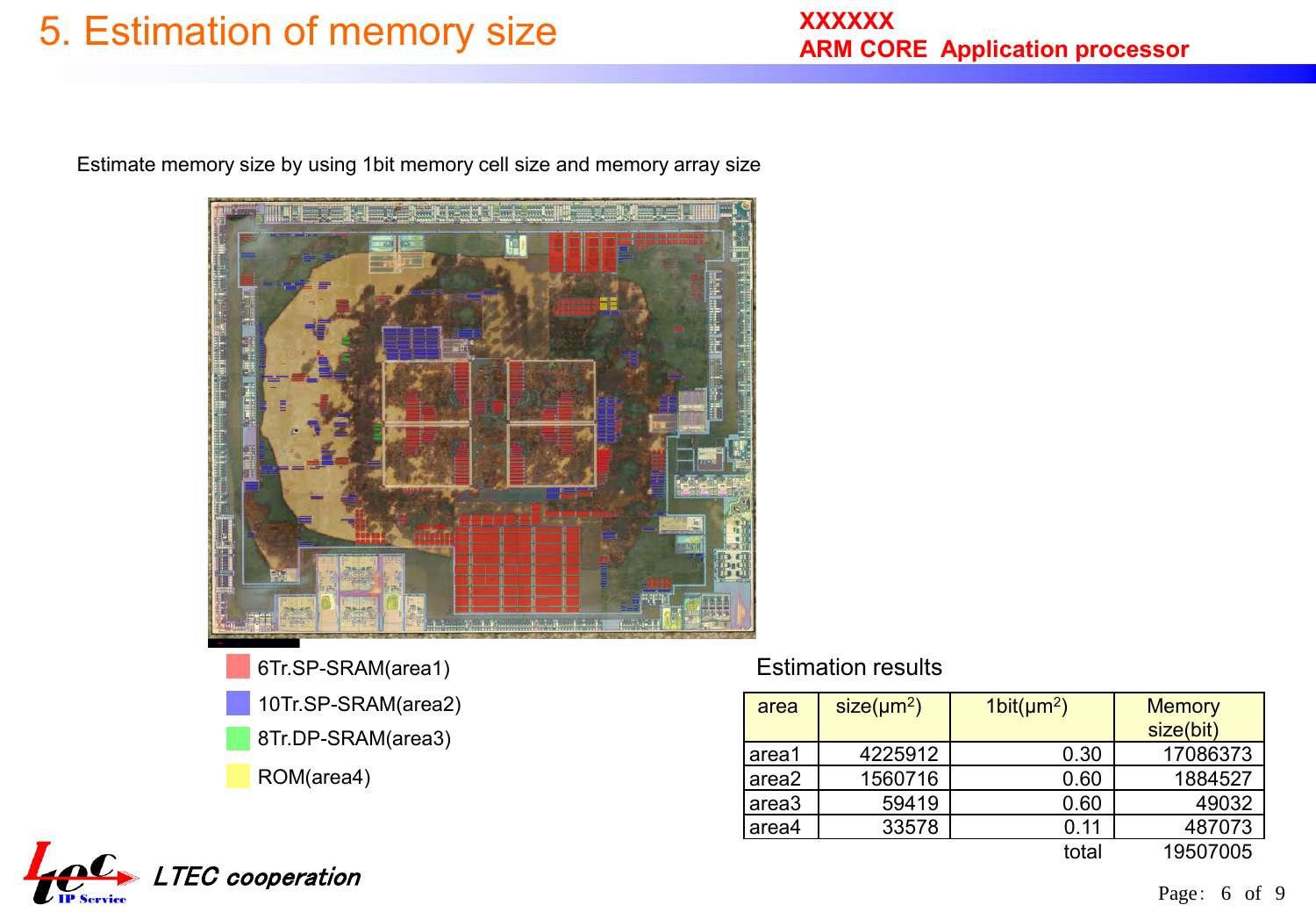# 5. Estimation of memory size

Estimate memory size by using 1bit memory cell size and memory array size



ROM(area4) 6Tr.SP-SRAM(area1) 10Tr.SP-SRAM(area2) 8Tr.DP-SRAM(area3)

#### Estimation results

| area              | $size(\mu m^2)$ | 1bit(nm <sup>2</sup> ) | <b>Memory</b> |
|-------------------|-----------------|------------------------|---------------|
|                   |                 |                        | size(bit)     |
| area1             | 4225912         | 0.30                   | 17086373      |
| area2             | 1560716         | 0.60                   | 1884527       |
| area <sub>3</sub> | 59419           | 0.60                   | 49032         |
| area4             | 33578           | 0.11                   | 487073        |
|                   |                 | total                  | 19507005      |

 $\boldsymbol{\Omega}$ LTEC cooperation **THE Service**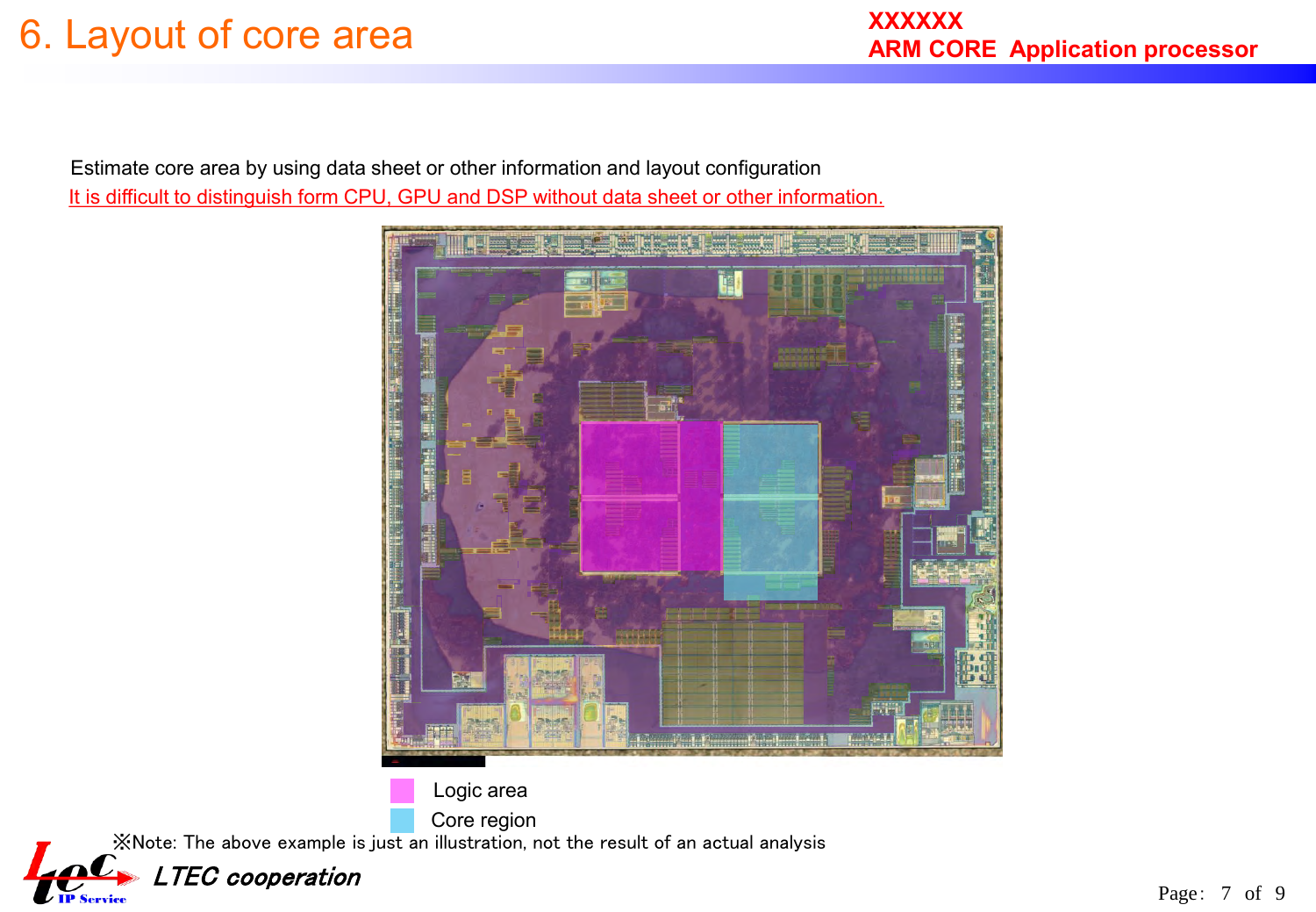Estimate core area by using data sheet or other information and layout configuration It is difficult to distinguish form CPU, GPU and DSP without data sheet or other information.



※Note: The above example is just an illustration, not the result of an actual analysis Logic area Core region

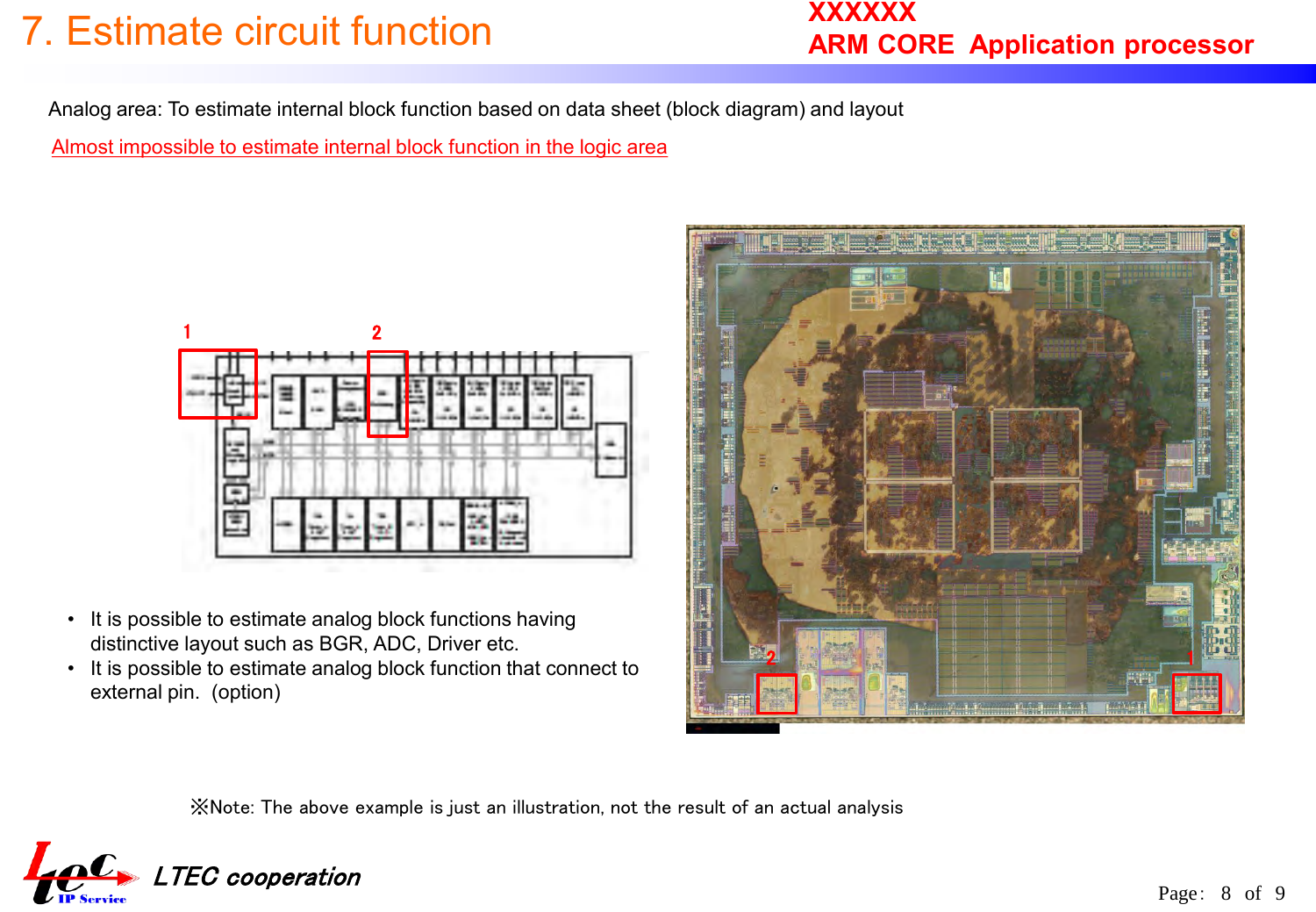# 7. Estimate circuit function

### **XXXXXX ARM CORE Application processor**

Analog area: To estimate internal block function based on data sheet (block diagram) and layout

Almost impossible to estimate internal block function in the logic area



- It is possible to estimate analog block functions having distinctive layout such as BGR, ADC, Driver etc.
- It is possible to estimate analog block function that connect to external pin. (option)



※Note: The above example is just an illustration, not the result of an actual analysis

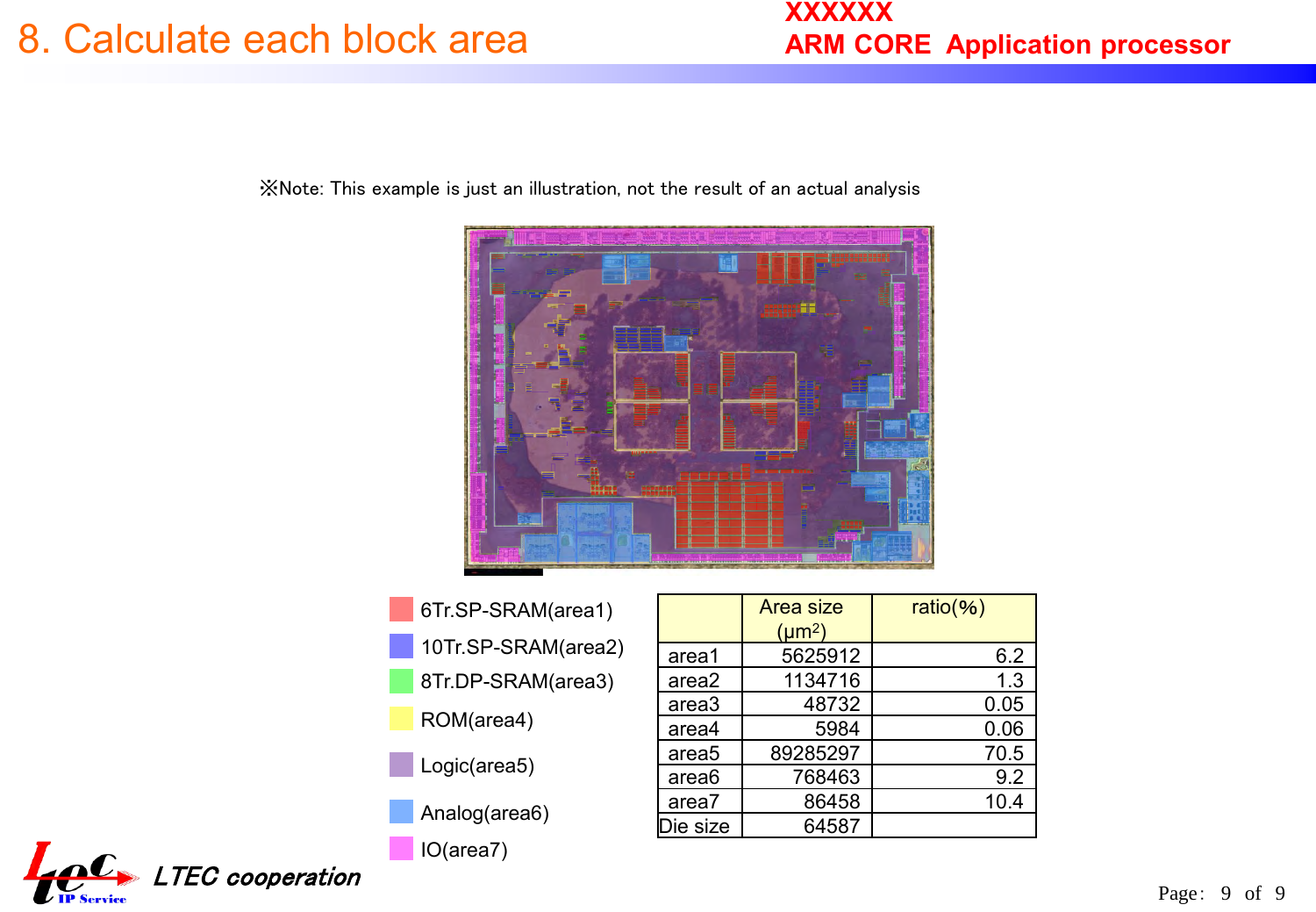### 8. Calculate each block area

### **XXXXXX ARM CORE Application processor**

※Note: This example is just an illustration, not the result of an actual analysis



- 6Tr.SP-SRAM(area1)
- 10Tr.SP-SRAM(area2)
- 8Tr.DP-SRAM(area3)
- ROM(area4)
- Logic(area5)
- Analog(area6)

IO(area7)

|                   | <b>Area size</b> | $ratio(\%)$ |
|-------------------|------------------|-------------|
|                   | $(\mu m^2)$      |             |
| area1             | 5625912          | 6.2         |
| area2             | 1134716          | 1.3         |
| area3             | 48732            | 0.05        |
| area4             | 5984             | 0.06        |
| area <sub>5</sub> | 89285297         | 70.5        |
| area <sub>6</sub> | 768463           | 9.2         |
| area7             | 86458            | 10.4        |
| Die size          | 64587            |             |